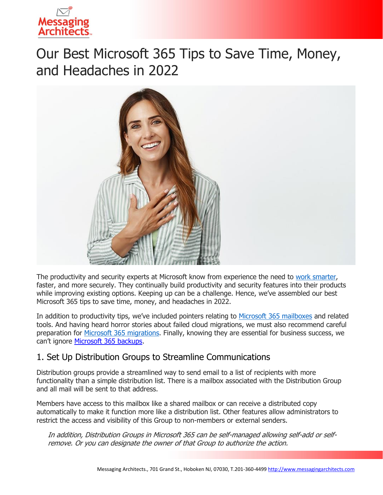

# Our Best Microsoft 365 Tips to Save Time, Money, and Headaches in 2022



The productivity and security experts at Microsoft know from experience the need to [work smarter,](https://messagingarchitects.com/time-saving-microsoft-365-tips/) faster, and more securely. They continually build productivity and security features into their products while improving existing options. Keeping up can be a challenge. Hence, we've assembled our best Microsoft 365 tips to save time, money, and headaches in 2022.

In addition to productivity tips, we've included pointers relating to [Microsoft 365 mailboxes](https://messagingarchitects.com/microsoft-365-mailboxes/) and related tools. And having heard horror stories about failed cloud migrations, we must also recommend careful preparation for [Microsoft 365 migrations.](https://messagingarchitects.com/microsoft-365-migration-tips/) Finally, knowing they are essential for business success, we can't ignore [Microsoft 365](https://messagingarchitects.com/data-backup-in-microsoft-365/) backups.

## 1. Set Up Distribution Groups to Streamline Communications

Distribution groups provide a streamlined way to send email to a list of recipients with more functionality than a simple distribution list. There is a mailbox associated with the Distribution Group and all mail will be sent to that address.

Members have access to this mailbox like a shared mailbox or can receive a distributed copy automatically to make it function more like a distribution list. Other features allow administrators to restrict the access and visibility of this Group to non-members or external senders.

In addition, Distribution Groups in Microsoft 365 can be self-managed allowing self-add or selfremove. Or you can designate the owner of that Group to authorize the action.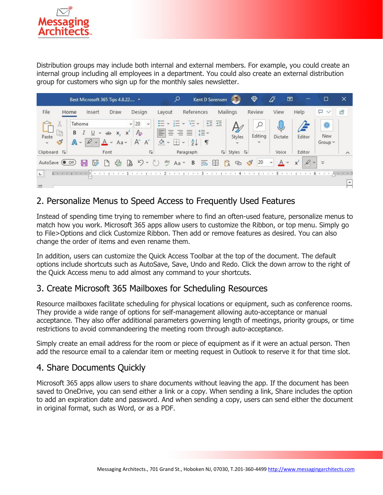

Distribution groups may include both internal and external members. For example, you could create an internal group including all employees in a department. You could also create an external distribution group for customers who sign up for the monthly sales newsletter.



## 2. Personalize Menus to Speed Access to Frequently Used Features

Instead of spending time trying to remember where to find an often-used feature, personalize menus to match how you work. Microsoft 365 apps allow users to customize the Ribbon, or top menu. Simply go to File>Options and click Customize Ribbon. Then add or remove features as desired. You can also change the order of items and even rename them.

In addition, users can customize the Quick Access Toolbar at the top of the document. The default options include shortcuts such as AutoSave, Save, Undo and Redo. Click the down arrow to the right of the Quick Access menu to add almost any command to your shortcuts.

#### 3. Create Microsoft 365 Mailboxes for Scheduling Resources

Resource mailboxes facilitate scheduling for physical locations or equipment, such as conference rooms. They provide a wide range of options for self-management allowing auto-acceptance or manual acceptance. They also offer additional parameters governing length of meetings, priority groups, or time restrictions to avoid commandeering the meeting room through auto-acceptance.

Simply create an email address for the room or piece of equipment as if it were an actual person. Then add the resource email to a calendar item or meeting request in Outlook to reserve it for that time slot.

#### 4. Share Documents Quickly

Microsoft 365 apps allow users to share documents without leaving the app. If the document has been saved to OneDrive, you can send either a link or a copy. When sending a link, Share includes the option to add an expiration date and password. And when sending a copy, users can send either the document in original format, such as Word, or as a PDF.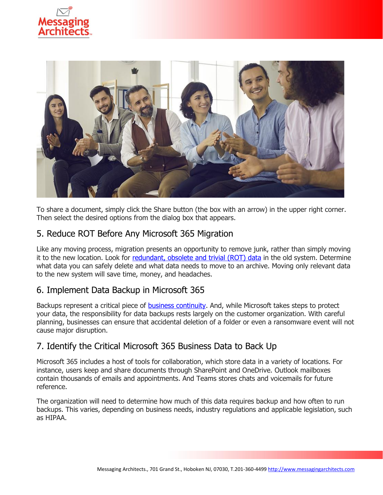



To share a document, simply click the Share button (the box with an arrow) in the upper right corner. Then select the desired options from the dialog box that appears.

## 5. Reduce ROT Before Any Microsoft 365 Migration

Like any moving process, migration presents an opportunity to remove junk, rather than simply moving it to the new location. Look for [redundant, obsolete and trivial \(ROT\) data](https://www.emazzanti.net/information-governance/) in the old system. Determine what data you can safely delete and what data needs to move to an archive. Moving only relevant data to the new system will save time, money, and headaches.

## 6. Implement Data Backup in Microsoft 365

Backups represent a critical piece of **business continuity**. And, while Microsoft takes steps to protect your data, the responsibility for data backups rests largely on the customer organization. With careful planning, businesses can ensure that accidental deletion of a folder or even a ransomware event will not cause major disruption.

## 7. Identify the Critical Microsoft 365 Business Data to Back Up

Microsoft 365 includes a host of tools for collaboration, which store data in a variety of locations. For instance, users keep and share documents through SharePoint and OneDrive. Outlook mailboxes contain thousands of emails and appointments. And Teams stores chats and voicemails for future reference.

The organization will need to determine how much of this data requires backup and how often to run backups. This varies, depending on business needs, industry regulations and applicable legislation, such as HIPAA.